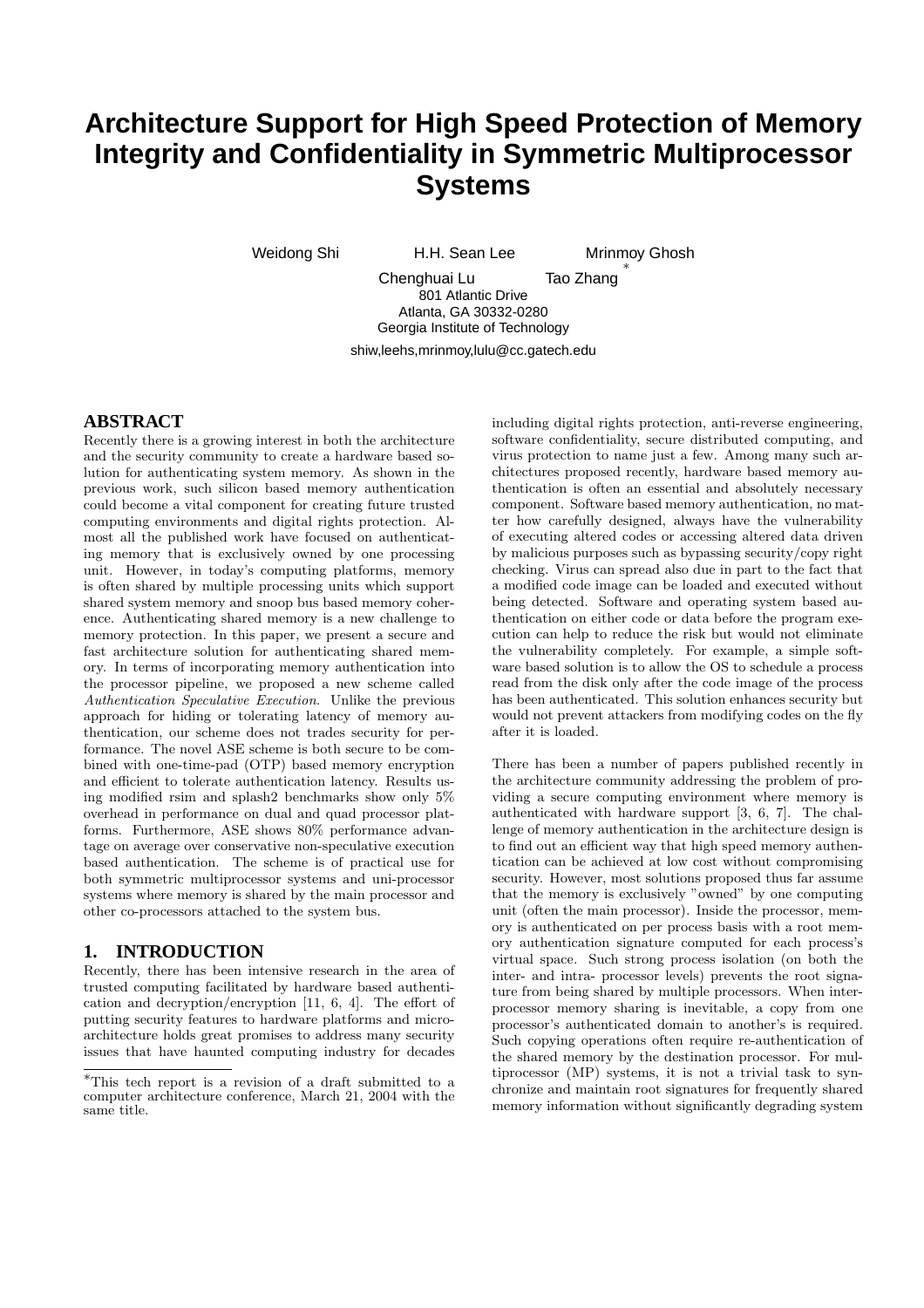# **Architecture Support for High Speed Protection of Memory Integrity and Confidentiality in Symmetric Multiprocessor Systems**

Weidong Shi **H.H. Sean Lee** Mrinmoy Ghosh

∗

Chenghuai Lu Tao Zhang 801 Atlantic Drive Atlanta, GA 30332-0280 Georgia Institute of Technology shiw,leehs,mrinmoy,lulu@cc.gatech.edu

## **ABSTRACT**

Recently there is a growing interest in both the architecture and the security community to create a hardware based solution for authenticating system memory. As shown in the previous work, such silicon based memory authentication could become a vital component for creating future trusted computing environments and digital rights protection. Almost all the published work have focused on authenticating memory that is exclusively owned by one processing unit. However, in today's computing platforms, memory is often shared by multiple processing units which support shared system memory and snoop bus based memory coherence. Authenticating shared memory is a new challenge to memory protection. In this paper, we present a secure and fast architecture solution for authenticating shared memory. In terms of incorporating memory authentication into the processor pipeline, we proposed a new scheme called Authentication Speculative Execution. Unlike the previous approach for hiding or tolerating latency of memory authentication, our scheme does not trades security for performance. The novel ASE scheme is both secure to be combined with one-time-pad (OTP) based memory encryption and efficient to tolerate authentication latency. Results using modified rsim and splash2 benchmarks show only 5% overhead in performance on dual and quad processor platforms. Furthermore, ASE shows 80% performance advantage on average over conservative non-speculative execution based authentication. The scheme is of practical use for both symmetric multiprocessor systems and uni-processor systems where memory is shared by the main processor and other co-processors attached to the system bus.

## **1. INTRODUCTION**

Recently, there has been intensive research in the area of trusted computing facilitated by hardware based authentication and decryption/encryption [11, 6, 4]. The effort of putting security features to hardware platforms and microarchitecture holds great promises to address many security issues that have haunted computing industry for decades including digital rights protection, anti-reverse engineering, software confidentiality, secure distributed computing, and virus protection to name just a few. Among many such architectures proposed recently, hardware based memory authentication is often an essential and absolutely necessary component. Software based memory authentication, no matter how carefully designed, always have the vulnerability of executing altered codes or accessing altered data driven by malicious purposes such as bypassing security/copy right checking. Virus can spread also due in part to the fact that a modified code image can be loaded and executed without being detected. Software and operating system based authentication on either code or data before the program execution can help to reduce the risk but would not eliminate the vulnerability completely. For example, a simple software based solution is to allow the OS to schedule a process read from the disk only after the code image of the process has been authenticated. This solution enhances security but would not prevent attackers from modifying codes on the fly after it is loaded.

There has been a number of papers published recently in the architecture community addressing the problem of providing a secure computing environment where memory is authenticated with hardware support [3, 6, 7]. The challenge of memory authentication in the architecture design is to find out an efficient way that high speed memory authentication can be achieved at low cost without compromising security. However, most solutions proposed thus far assume that the memory is exclusively "owned" by one computing unit (often the main processor). Inside the processor, memory is authenticated on per process basis with a root memory authentication signature computed for each process's virtual space. Such strong process isolation (on both the inter- and intra- processor levels) prevents the root signature from being shared by multiple processors. When interprocessor memory sharing is inevitable, a copy from one processor's authenticated domain to another's is required. Such copying operations often require re-authentication of the shared memory by the destination processor. For multiprocessor (MP) systems, it is not a trivial task to synchronize and maintain root signatures for frequently shared memory information without significantly degrading system

<sup>∗</sup>This tech report is a revision of a draft submitted to a computer architecture conference, March 21, 2004 with the same title.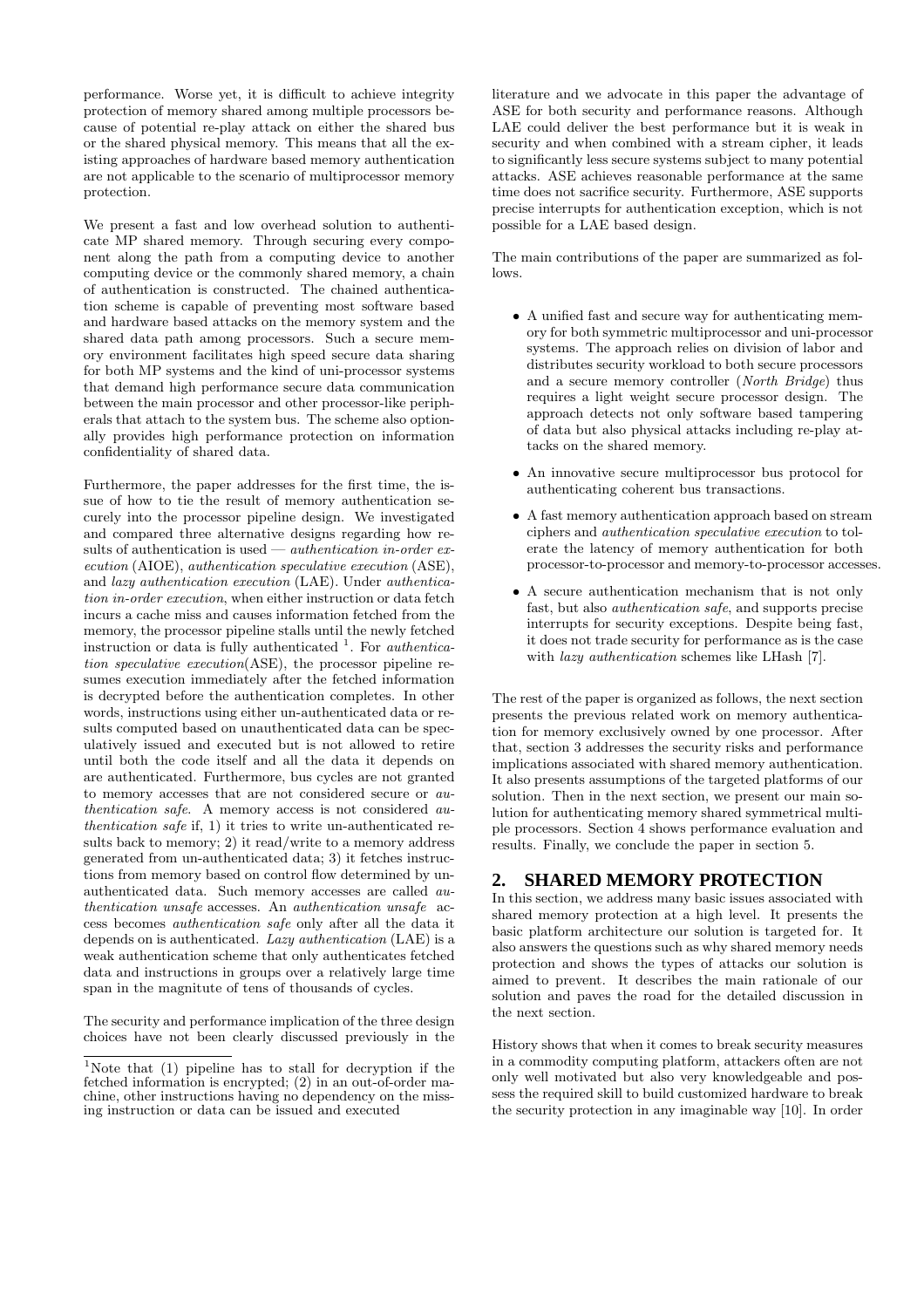performance. Worse yet, it is difficult to achieve integrity protection of memory shared among multiple processors because of potential re-play attack on either the shared bus or the shared physical memory. This means that all the existing approaches of hardware based memory authentication are not applicable to the scenario of multiprocessor memory protection.

We present a fast and low overhead solution to authenticate MP shared memory. Through securing every component along the path from a computing device to another computing device or the commonly shared memory, a chain of authentication is constructed. The chained authentication scheme is capable of preventing most software based and hardware based attacks on the memory system and the shared data path among processors. Such a secure memory environment facilitates high speed secure data sharing for both MP systems and the kind of uni-processor systems that demand high performance secure data communication between the main processor and other processor-like peripherals that attach to the system bus. The scheme also optionally provides high performance protection on information confidentiality of shared data.

Furthermore, the paper addresses for the first time, the issue of how to tie the result of memory authentication securely into the processor pipeline design. We investigated and compared three alternative designs regarding how results of authentication is used — *authentication in-order ex*ecution (AIOE), authentication speculative execution (ASE), and lazy authentication execution (LAE). Under authentication in-order execution, when either instruction or data fetch incurs a cache miss and causes information fetched from the memory, the processor pipeline stalls until the newly fetched instruction or data is fully authenticated  $\frac{1}{1}$ . For *authentica*tion speculative execution(ASE), the processor pipeline resumes execution immediately after the fetched information is decrypted before the authentication completes. In other words, instructions using either un-authenticated data or results computed based on unauthenticated data can be speculatively issued and executed but is not allowed to retire until both the code itself and all the data it depends on are authenticated. Furthermore, bus cycles are not granted to memory accesses that are not considered secure or authentication safe. A memory access is not considered authentication safe if, 1) it tries to write un-authenticated results back to memory; 2) it read/write to a memory address generated from un-authenticated data; 3) it fetches instructions from memory based on control flow determined by unauthenticated data. Such memory accesses are called authentication unsafe accesses. An authentication unsafe access becomes authentication safe only after all the data it depends on is authenticated. Lazy authentication (LAE) is a weak authentication scheme that only authenticates fetched data and instructions in groups over a relatively large time span in the magnitute of tens of thousands of cycles.

The security and performance implication of the three design choices have not been clearly discussed previously in the

literature and we advocate in this paper the advantage of ASE for both security and performance reasons. Although LAE could deliver the best performance but it is weak in security and when combined with a stream cipher, it leads to significantly less secure systems subject to many potential attacks. ASE achieves reasonable performance at the same time does not sacrifice security. Furthermore, ASE supports precise interrupts for authentication exception, which is not possible for a LAE based design.

The main contributions of the paper are summarized as follows.

- A unified fast and secure way for authenticating memory for both symmetric multiprocessor and uni-processor systems. The approach relies on division of labor and distributes security workload to both secure processors and a secure memory controller (North Bridge) thus requires a light weight secure processor design. The approach detects not only software based tampering of data but also physical attacks including re-play attacks on the shared memory.
- An innovative secure multiprocessor bus protocol for authenticating coherent bus transactions.
- A fast memory authentication approach based on stream ciphers and authentication speculative execution to tolerate the latency of memory authentication for both processor-to-processor and memory-to-processor accesses.
- A secure authentication mechanism that is not only fast, but also authentication safe, and supports precise interrupts for security exceptions. Despite being fast, it does not trade security for performance as is the case with *lazy authentication* schemes like LHash [7].

The rest of the paper is organized as follows, the next section presents the previous related work on memory authentication for memory exclusively owned by one processor. After that, section 3 addresses the security risks and performance implications associated with shared memory authentication. It also presents assumptions of the targeted platforms of our solution. Then in the next section, we present our main solution for authenticating memory shared symmetrical multiple processors. Section 4 shows performance evaluation and results. Finally, we conclude the paper in section 5.

# **2. SHARED MEMORY PROTECTION**

In this section, we address many basic issues associated with shared memory protection at a high level. It presents the basic platform architecture our solution is targeted for. It also answers the questions such as why shared memory needs protection and shows the types of attacks our solution is aimed to prevent. It describes the main rationale of our solution and paves the road for the detailed discussion in the next section.

History shows that when it comes to break security measures in a commodity computing platform, attackers often are not only well motivated but also very knowledgeable and possess the required skill to build customized hardware to break the security protection in any imaginable way [10]. In order

<sup>1</sup>Note that (1) pipeline has to stall for decryption if the fetched information is encrypted; (2) in an out-of-order machine, other instructions having no dependency on the missing instruction or data can be issued and executed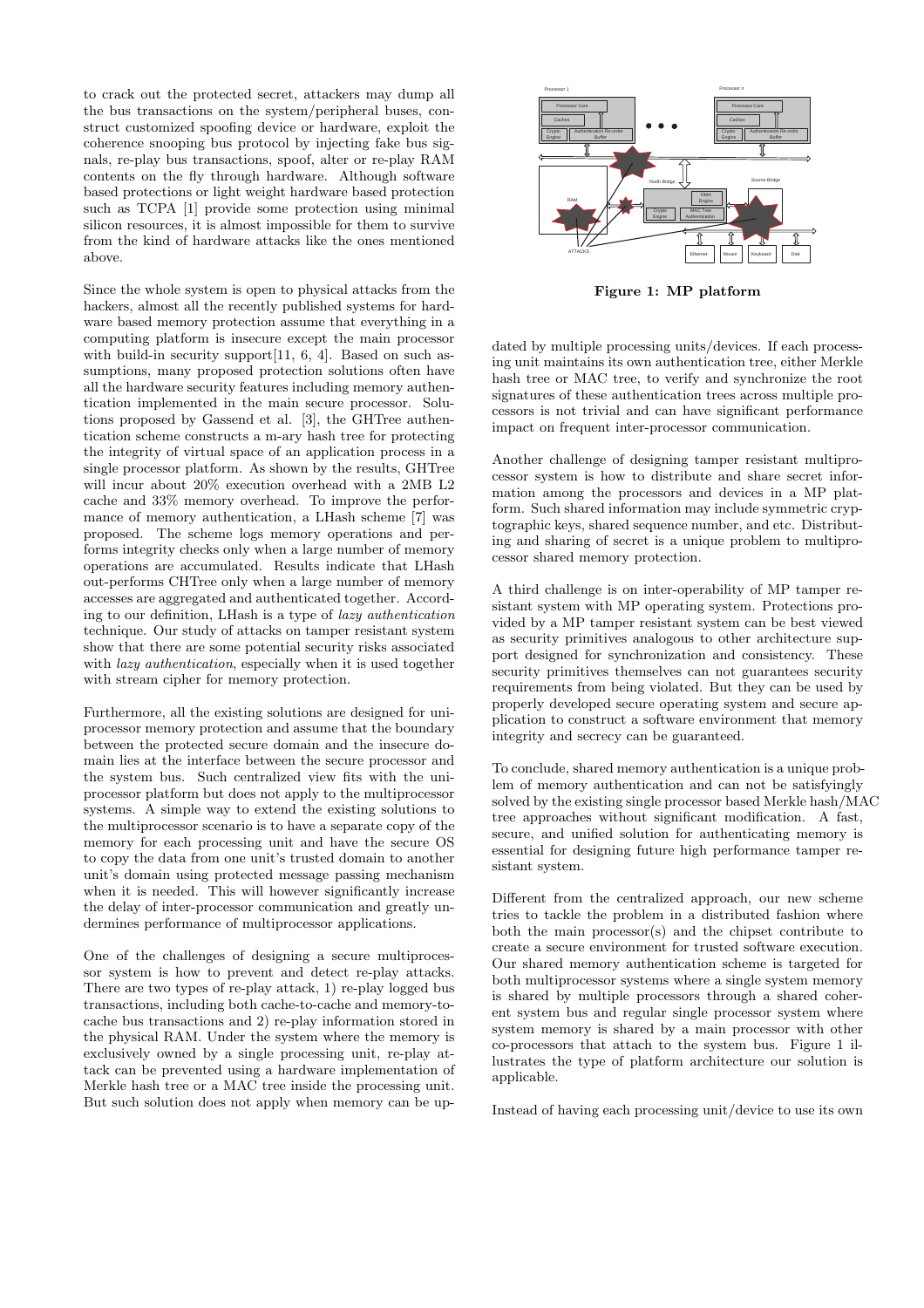to crack out the protected secret, attackers may dump all the bus transactions on the system/peripheral buses, construct customized spoofing device or hardware, exploit the coherence snooping bus protocol by injecting fake bus signals, re-play bus transactions, spoof, alter or re-play RAM contents on the fly through hardware. Although software based protections or light weight hardware based protection such as TCPA [1] provide some protection using minimal silicon resources, it is almost impossible for them to survive from the kind of hardware attacks like the ones mentioned above.

Since the whole system is open to physical attacks from the hackers, almost all the recently published systems for hardware based memory protection assume that everything in a computing platform is insecure except the main processor with build-in security support [11, 6, 4]. Based on such assumptions, many proposed protection solutions often have all the hardware security features including memory authentication implemented in the main secure processor. Solutions proposed by Gassend et al. [3], the GHTree authentication scheme constructs a m-ary hash tree for protecting the integrity of virtual space of an application process in a single processor platform. As shown by the results, GHTree will incur about 20% execution overhead with a 2MB L2 cache and 33% memory overhead. To improve the performance of memory authentication, a LHash scheme [7] was proposed. The scheme logs memory operations and performs integrity checks only when a large number of memory operations are accumulated. Results indicate that LHash out-performs CHTree only when a large number of memory accesses are aggregated and authenticated together. According to our definition, LHash is a type of lazy authentication technique. Our study of attacks on tamper resistant system show that there are some potential security risks associated with lazy authentication, especially when it is used together with stream cipher for memory protection.

Furthermore, all the existing solutions are designed for uniprocessor memory protection and assume that the boundary between the protected secure domain and the insecure domain lies at the interface between the secure processor and the system bus. Such centralized view fits with the uniprocessor platform but does not apply to the multiprocessor systems. A simple way to extend the existing solutions to the multiprocessor scenario is to have a separate copy of the memory for each processing unit and have the secure OS to copy the data from one unit's trusted domain to another unit's domain using protected message passing mechanism when it is needed. This will however significantly increase the delay of inter-processor communication and greatly undermines performance of multiprocessor applications.

One of the challenges of designing a secure multiprocessor system is how to prevent and detect re-play attacks. There are two types of re-play attack, 1) re-play logged bus transactions, including both cache-to-cache and memory-tocache bus transactions and 2) re-play information stored in the physical RAM. Under the system where the memory is exclusively owned by a single processing unit, re-play attack can be prevented using a hardware implementation of Merkle hash tree or a MAC tree inside the processing unit. But such solution does not apply when memory can be up-



Figure 1: MP platform

dated by multiple processing units/devices. If each processing unit maintains its own authentication tree, either Merkle hash tree or MAC tree, to verify and synchronize the root signatures of these authentication trees across multiple processors is not trivial and can have significant performance impact on frequent inter-processor communication.

Another challenge of designing tamper resistant multiprocessor system is how to distribute and share secret information among the processors and devices in a MP platform. Such shared information may include symmetric cryptographic keys, shared sequence number, and etc. Distributing and sharing of secret is a unique problem to multiprocessor shared memory protection.

A third challenge is on inter-operability of MP tamper resistant system with MP operating system. Protections provided by a MP tamper resistant system can be best viewed as security primitives analogous to other architecture support designed for synchronization and consistency. These security primitives themselves can not guarantees security requirements from being violated. But they can be used by properly developed secure operating system and secure application to construct a software environment that memory integrity and secrecy can be guaranteed.

To conclude, shared memory authentication is a unique problem of memory authentication and can not be satisfyingly solved by the existing single processor based Merkle hash/MAC tree approaches without significant modification. A fast, secure, and unified solution for authenticating memory is essential for designing future high performance tamper resistant system.

Different from the centralized approach, our new scheme tries to tackle the problem in a distributed fashion where both the main processor(s) and the chipset contribute to create a secure environment for trusted software execution. Our shared memory authentication scheme is targeted for both multiprocessor systems where a single system memory is shared by multiple processors through a shared coherent system bus and regular single processor system where system memory is shared by a main processor with other co-processors that attach to the system bus. Figure 1 illustrates the type of platform architecture our solution is applicable.

Instead of having each processing unit/device to use its own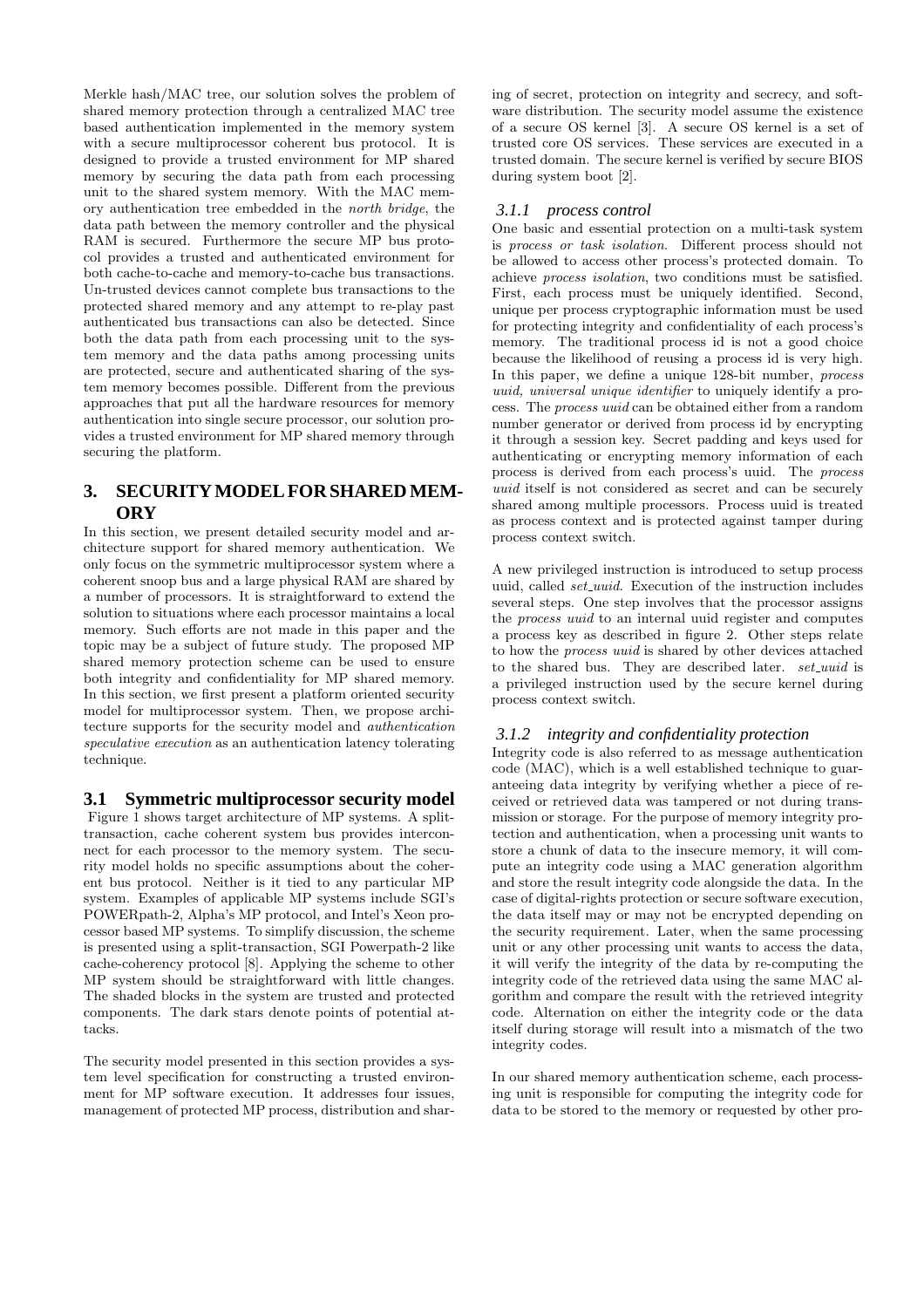Merkle hash/MAC tree, our solution solves the problem of shared memory protection through a centralized MAC tree based authentication implemented in the memory system with a secure multiprocessor coherent bus protocol. It is designed to provide a trusted environment for MP shared memory by securing the data path from each processing unit to the shared system memory. With the MAC memory authentication tree embedded in the north bridge, the data path between the memory controller and the physical RAM is secured. Furthermore the secure MP bus protocol provides a trusted and authenticated environment for both cache-to-cache and memory-to-cache bus transactions. Un-trusted devices cannot complete bus transactions to the protected shared memory and any attempt to re-play past authenticated bus transactions can also be detected. Since both the data path from each processing unit to the system memory and the data paths among processing units are protected, secure and authenticated sharing of the system memory becomes possible. Different from the previous approaches that put all the hardware resources for memory authentication into single secure processor, our solution provides a trusted environment for MP shared memory through securing the platform.

# **3. SECURITY MODEL FOR SHARED MEM-ORY**

In this section, we present detailed security model and architecture support for shared memory authentication. We only focus on the symmetric multiprocessor system where a coherent snoop bus and a large physical RAM are shared by a number of processors. It is straightforward to extend the solution to situations where each processor maintains a local memory. Such efforts are not made in this paper and the topic may be a subject of future study. The proposed MP shared memory protection scheme can be used to ensure both integrity and confidentiality for MP shared memory. In this section, we first present a platform oriented security model for multiprocessor system. Then, we propose architecture supports for the security model and authentication speculative execution as an authentication latency tolerating technique.

# **3.1 Symmetric multiprocessor security model**

Figure 1 shows target architecture of MP systems. A splittransaction, cache coherent system bus provides interconnect for each processor to the memory system. The security model holds no specific assumptions about the coherent bus protocol. Neither is it tied to any particular MP system. Examples of applicable MP systems include SGI's POWERpath-2, Alpha's MP protocol, and Intel's Xeon processor based MP systems. To simplify discussion, the scheme is presented using a split-transaction, SGI Powerpath-2 like cache-coherency protocol [8]. Applying the scheme to other MP system should be straightforward with little changes. The shaded blocks in the system are trusted and protected components. The dark stars denote points of potential attacks.

The security model presented in this section provides a system level specification for constructing a trusted environment for MP software execution. It addresses four issues, management of protected MP process, distribution and sharing of secret, protection on integrity and secrecy, and software distribution. The security model assume the existence of a secure OS kernel [3]. A secure OS kernel is a set of trusted core OS services. These services are executed in a trusted domain. The secure kernel is verified by secure BIOS during system boot [2].

## *3.1.1 process control*

One basic and essential protection on a multi-task system is process or task isolation. Different process should not be allowed to access other process's protected domain. To achieve process isolation, two conditions must be satisfied. First, each process must be uniquely identified. Second, unique per process cryptographic information must be used for protecting integrity and confidentiality of each process's memory. The traditional process id is not a good choice because the likelihood of reusing a process id is very high. In this paper, we define a unique 128-bit number, *process* uuid, universal unique identifier to uniquely identify a process. The process uuid can be obtained either from a random number generator or derived from process id by encrypting it through a session key. Secret padding and keys used for authenticating or encrypting memory information of each process is derived from each process's uuid. The process uuid itself is not considered as secret and can be securely shared among multiple processors. Process uuid is treated as process context and is protected against tamper during process context switch.

A new privileged instruction is introduced to setup process uuid, called *set\_uuid*. Execution of the instruction includes several steps. One step involves that the processor assigns the process uuid to an internal uuid register and computes a process key as described in figure 2. Other steps relate to how the process uuid is shared by other devices attached to the shared bus. They are described later. set\_uuid is a privileged instruction used by the secure kernel during process context switch.

## *3.1.2 integrity and confidentiality protection*

Integrity code is also referred to as message authentication code (MAC), which is a well established technique to guaranteeing data integrity by verifying whether a piece of received or retrieved data was tampered or not during transmission or storage. For the purpose of memory integrity protection and authentication, when a processing unit wants to store a chunk of data to the insecure memory, it will compute an integrity code using a MAC generation algorithm and store the result integrity code alongside the data. In the case of digital-rights protection or secure software execution, the data itself may or may not be encrypted depending on the security requirement. Later, when the same processing unit or any other processing unit wants to access the data, it will verify the integrity of the data by re-computing the integrity code of the retrieved data using the same MAC algorithm and compare the result with the retrieved integrity code. Alternation on either the integrity code or the data itself during storage will result into a mismatch of the two integrity codes.

In our shared memory authentication scheme, each processing unit is responsible for computing the integrity code for data to be stored to the memory or requested by other pro-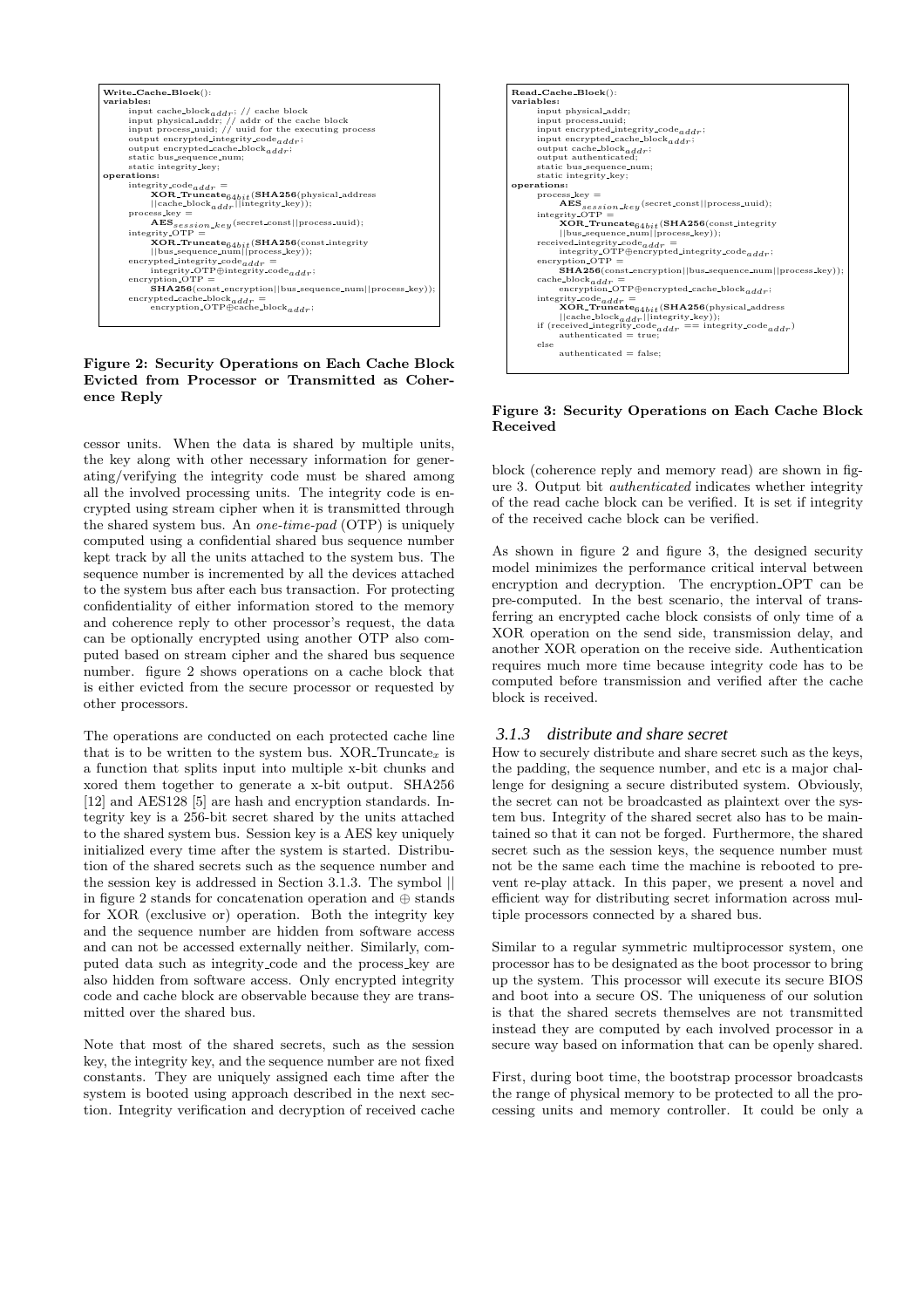

#### Figure 2: Security Operations on Each Cache Block Evicted from Processor or Transmitted as Coherence Reply

cessor units. When the data is shared by multiple units, the key along with other necessary information for generating/verifying the integrity code must be shared among all the involved processing units. The integrity code is encrypted using stream cipher when it is transmitted through the shared system bus. An one-time-pad (OTP) is uniquely computed using a confidential shared bus sequence number kept track by all the units attached to the system bus. The sequence number is incremented by all the devices attached to the system bus after each bus transaction. For protecting confidentiality of either information stored to the memory and coherence reply to other processor's request, the data can be optionally encrypted using another OTP also computed based on stream cipher and the shared bus sequence number. figure 2 shows operations on a cache block that is either evicted from the secure processor or requested by other processors.

The operations are conducted on each protected cache line that is to be written to the system bus.  $XOR$ -Truncate<sub>x</sub> is a function that splits input into multiple x-bit chunks and xored them together to generate a x-bit output. SHA256 [12] and AES128 [5] are hash and encryption standards. Integrity key is a 256-bit secret shared by the units attached to the shared system bus. Session key is a AES key uniquely initialized every time after the system is started. Distribution of the shared secrets such as the sequence number and the session key is addressed in Section 3.1.3. The symbol || in figure 2 stands for concatenation operation and ⊕ stands for XOR (exclusive or) operation. Both the integrity key and the sequence number are hidden from software access and can not be accessed externally neither. Similarly, computed data such as integrity code and the process key are also hidden from software access. Only encrypted integrity code and cache block are observable because they are transmitted over the shared bus.

Note that most of the shared secrets, such as the session key, the integrity key, and the sequence number are not fixed constants. They are uniquely assigned each time after the system is booted using approach described in the next section. Integrity verification and decryption of received cache



#### Figure 3: Security Operations on Each Cache Block Received

block (coherence reply and memory read) are shown in figure 3. Output bit authenticated indicates whether integrity of the read cache block can be verified. It is set if integrity of the received cache block can be verified.

As shown in figure 2 and figure 3, the designed security model minimizes the performance critical interval between encryption and decryption. The encryption OPT can be pre-computed. In the best scenario, the interval of transferring an encrypted cache block consists of only time of a XOR operation on the send side, transmission delay, and another XOR operation on the receive side. Authentication requires much more time because integrity code has to be computed before transmission and verified after the cache block is received.

## *3.1.3 distribute and share secret*

How to securely distribute and share secret such as the keys, the padding, the sequence number, and etc is a major challenge for designing a secure distributed system. Obviously, the secret can not be broadcasted as plaintext over the system bus. Integrity of the shared secret also has to be maintained so that it can not be forged. Furthermore, the shared secret such as the session keys, the sequence number must not be the same each time the machine is rebooted to prevent re-play attack. In this paper, we present a novel and efficient way for distributing secret information across multiple processors connected by a shared bus.

Similar to a regular symmetric multiprocessor system, one processor has to be designated as the boot processor to bring up the system. This processor will execute its secure BIOS and boot into a secure OS. The uniqueness of our solution is that the shared secrets themselves are not transmitted instead they are computed by each involved processor in a secure way based on information that can be openly shared.

First, during boot time, the bootstrap processor broadcasts the range of physical memory to be protected to all the processing units and memory controller. It could be only a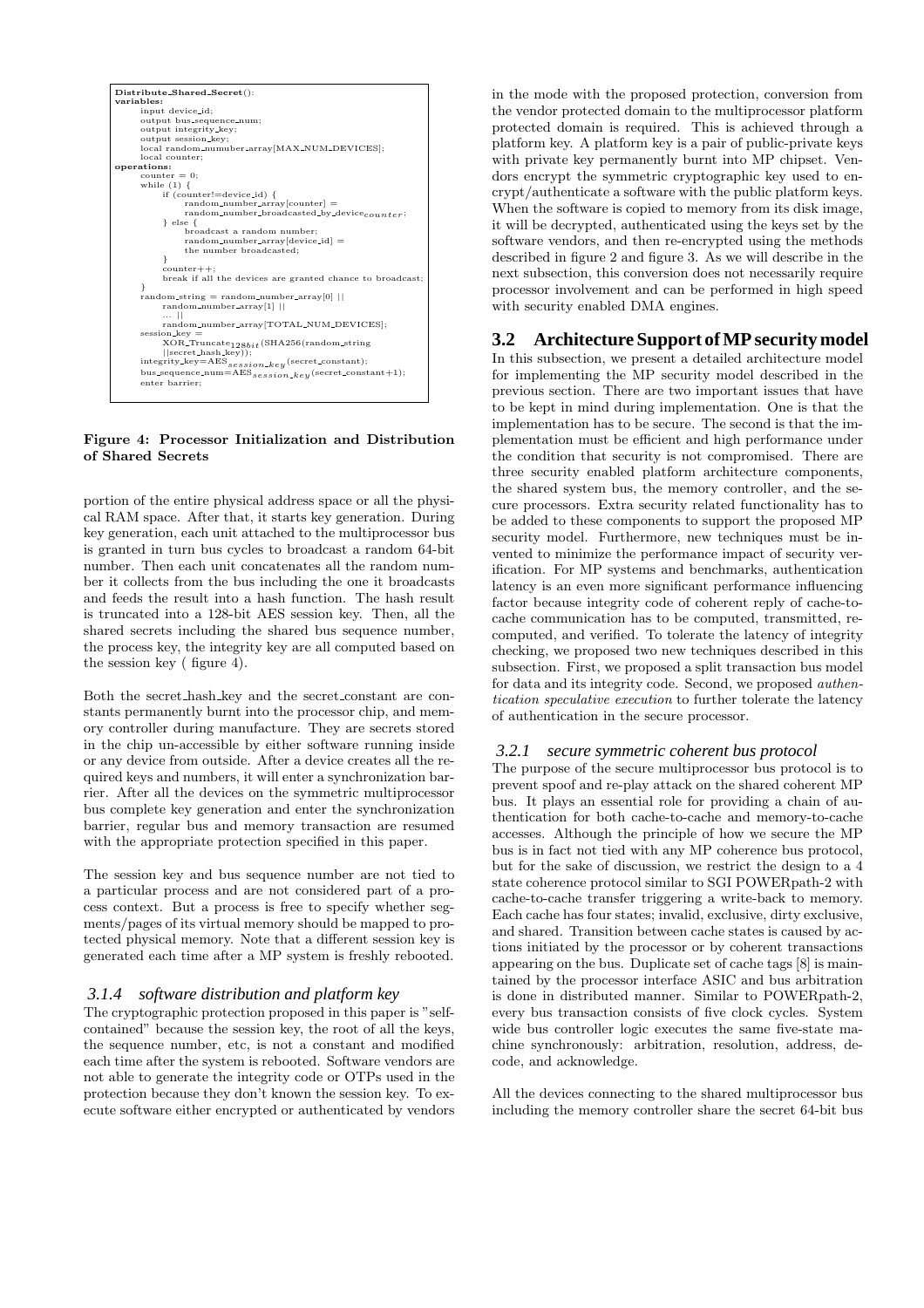

#### Figure 4: Processor Initialization and Distribution of Shared Secrets

portion of the entire physical address space or all the physical RAM space. After that, it starts key generation. During key generation, each unit attached to the multiprocessor bus is granted in turn bus cycles to broadcast a random 64-bit number. Then each unit concatenates all the random number it collects from the bus including the one it broadcasts and feeds the result into a hash function. The hash result is truncated into a 128-bit AES session key. Then, all the shared secrets including the shared bus sequence number, the process key, the integrity key are all computed based on the session key ( figure 4).

Both the secret hash key and the secret constant are constants permanently burnt into the processor chip, and memory controller during manufacture. They are secrets stored in the chip un-accessible by either software running inside or any device from outside. After a device creates all the required keys and numbers, it will enter a synchronization barrier. After all the devices on the symmetric multiprocessor bus complete key generation and enter the synchronization barrier, regular bus and memory transaction are resumed with the appropriate protection specified in this paper.

The session key and bus sequence number are not tied to a particular process and are not considered part of a process context. But a process is free to specify whether segments/pages of its virtual memory should be mapped to protected physical memory. Note that a different session key is generated each time after a MP system is freshly rebooted.

#### *3.1.4 software distribution and platform key*

The cryptographic protection proposed in this paper is "selfcontained" because the session key, the root of all the keys, the sequence number, etc, is not a constant and modified each time after the system is rebooted. Software vendors are not able to generate the integrity code or OTPs used in the protection because they don't known the session key. To execute software either encrypted or authenticated by vendors

in the mode with the proposed protection, conversion from the vendor protected domain to the multiprocessor platform protected domain is required. This is achieved through a platform key. A platform key is a pair of public-private keys with private key permanently burnt into MP chipset. Vendors encrypt the symmetric cryptographic key used to encrypt/authenticate a software with the public platform keys. When the software is copied to memory from its disk image, it will be decrypted, authenticated using the keys set by the software vendors, and then re-encrypted using the methods described in figure 2 and figure 3. As we will describe in the next subsection, this conversion does not necessarily require processor involvement and can be performed in high speed with security enabled DMA engines.

## **3.2 Architecture Support of MP security model**

In this subsection, we present a detailed architecture model for implementing the MP security model described in the previous section. There are two important issues that have to be kept in mind during implementation. One is that the implementation has to be secure. The second is that the implementation must be efficient and high performance under the condition that security is not compromised. There are three security enabled platform architecture components, the shared system bus, the memory controller, and the secure processors. Extra security related functionality has to be added to these components to support the proposed MP security model. Furthermore, new techniques must be invented to minimize the performance impact of security verification. For MP systems and benchmarks, authentication latency is an even more significant performance influencing factor because integrity code of coherent reply of cache-tocache communication has to be computed, transmitted, recomputed, and verified. To tolerate the latency of integrity checking, we proposed two new techniques described in this subsection. First, we proposed a split transaction bus model for data and its integrity code. Second, we proposed authentication speculative execution to further tolerate the latency of authentication in the secure processor.

#### *3.2.1 secure symmetric coherent bus protocol*

The purpose of the secure multiprocessor bus protocol is to prevent spoof and re-play attack on the shared coherent MP bus. It plays an essential role for providing a chain of authentication for both cache-to-cache and memory-to-cache accesses. Although the principle of how we secure the MP bus is in fact not tied with any MP coherence bus protocol, but for the sake of discussion, we restrict the design to a 4 state coherence protocol similar to SGI POWERpath-2 with cache-to-cache transfer triggering a write-back to memory. Each cache has four states; invalid, exclusive, dirty exclusive, and shared. Transition between cache states is caused by actions initiated by the processor or by coherent transactions appearing on the bus. Duplicate set of cache tags [8] is maintained by the processor interface ASIC and bus arbitration is done in distributed manner. Similar to POWERpath-2, every bus transaction consists of five clock cycles. System wide bus controller logic executes the same five-state machine synchronously: arbitration, resolution, address, decode, and acknowledge.

All the devices connecting to the shared multiprocessor bus including the memory controller share the secret 64-bit bus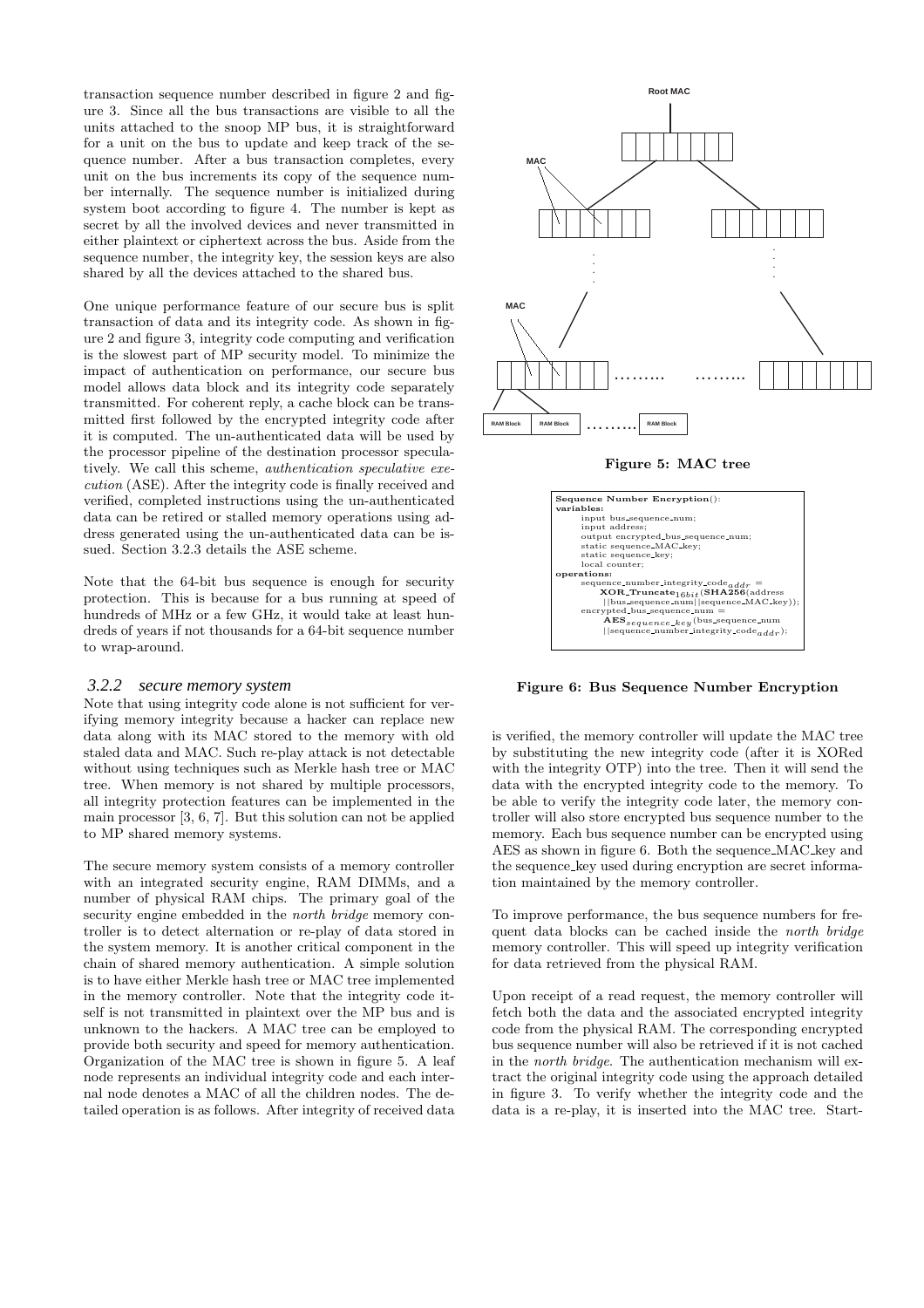transaction sequence number described in figure 2 and figure 3. Since all the bus transactions are visible to all the units attached to the snoop MP bus, it is straightforward for a unit on the bus to update and keep track of the sequence number. After a bus transaction completes, every unit on the bus increments its copy of the sequence number internally. The sequence number is initialized during system boot according to figure 4. The number is kept as secret by all the involved devices and never transmitted in either plaintext or ciphertext across the bus. Aside from the sequence number, the integrity key, the session keys are also shared by all the devices attached to the shared bus.

One unique performance feature of our secure bus is split transaction of data and its integrity code. As shown in figure 2 and figure 3, integrity code computing and verification is the slowest part of MP security model. To minimize the impact of authentication on performance, our secure bus model allows data block and its integrity code separately transmitted. For coherent reply, a cache block can be transmitted first followed by the encrypted integrity code after it is computed. The un-authenticated data will be used by the processor pipeline of the destination processor speculatively. We call this scheme, authentication speculative execution (ASE). After the integrity code is finally received and verified, completed instructions using the un-authenticated data can be retired or stalled memory operations using address generated using the un-authenticated data can be issued. Section 3.2.3 details the ASE scheme.

Note that the 64-bit bus sequence is enough for security protection. This is because for a bus running at speed of hundreds of MHz or a few GHz, it would take at least hundreds of years if not thousands for a 64-bit sequence number to wrap-around.

#### *3.2.2 secure memory system*

Note that using integrity code alone is not sufficient for verifying memory integrity because a hacker can replace new data along with its MAC stored to the memory with old staled data and MAC. Such re-play attack is not detectable without using techniques such as Merkle hash tree or MAC tree. When memory is not shared by multiple processors, all integrity protection features can be implemented in the main processor [3, 6, 7]. But this solution can not be applied to MP shared memory systems.

The secure memory system consists of a memory controller with an integrated security engine, RAM DIMMs, and a number of physical RAM chips. The primary goal of the security engine embedded in the *north* bridge memory controller is to detect alternation or re-play of data stored in the system memory. It is another critical component in the chain of shared memory authentication. A simple solution is to have either Merkle hash tree or MAC tree implemented in the memory controller. Note that the integrity code itself is not transmitted in plaintext over the MP bus and is unknown to the hackers. A MAC tree can be employed to provide both security and speed for memory authentication. Organization of the MAC tree is shown in figure 5. A leaf node represents an individual integrity code and each internal node denotes a MAC of all the children nodes. The detailed operation is as follows. After integrity of received data



#### Figure 5: MAC tree



Figure 6: Bus Sequence Number Encryption

is verified, the memory controller will update the MAC tree by substituting the new integrity code (after it is XORed with the integrity OTP) into the tree. Then it will send the data with the encrypted integrity code to the memory. To be able to verify the integrity code later, the memory controller will also store encrypted bus sequence number to the memory. Each bus sequence number can be encrypted using AES as shown in figure 6. Both the sequence MAC key and the sequence key used during encryption are secret information maintained by the memory controller.

To improve performance, the bus sequence numbers for frequent data blocks can be cached inside the north bridge memory controller. This will speed up integrity verification for data retrieved from the physical RAM.

Upon receipt of a read request, the memory controller will fetch both the data and the associated encrypted integrity code from the physical RAM. The corresponding encrypted bus sequence number will also be retrieved if it is not cached in the north bridge. The authentication mechanism will extract the original integrity code using the approach detailed in figure 3. To verify whether the integrity code and the data is a re-play, it is inserted into the MAC tree. Start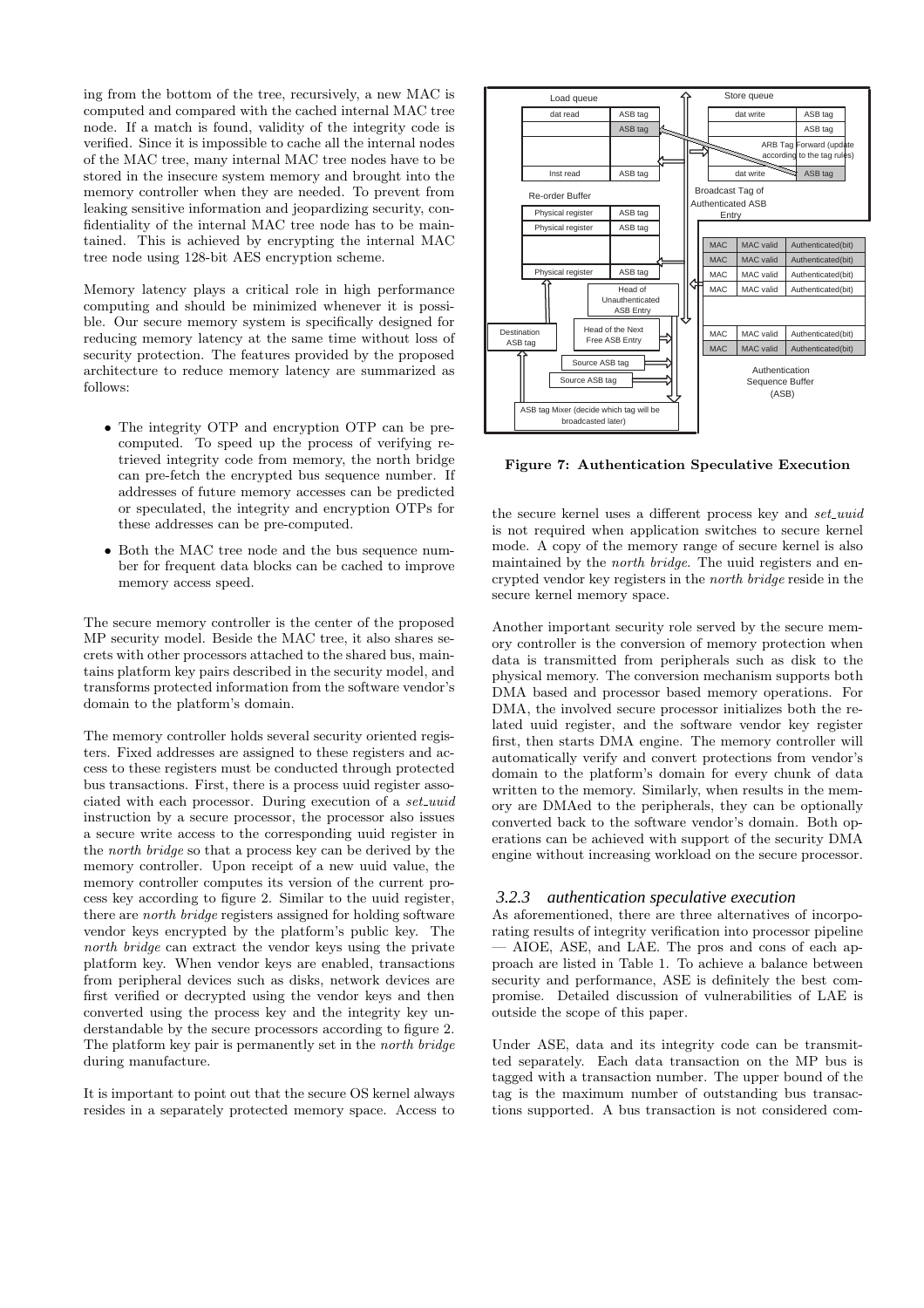ing from the bottom of the tree, recursively, a new MAC is computed and compared with the cached internal MAC tree node. If a match is found, validity of the integrity code is verified. Since it is impossible to cache all the internal nodes of the MAC tree, many internal MAC tree nodes have to be stored in the insecure system memory and brought into the memory controller when they are needed. To prevent from leaking sensitive information and jeopardizing security, confidentiality of the internal MAC tree node has to be maintained. This is achieved by encrypting the internal MAC tree node using 128-bit AES encryption scheme.

Memory latency plays a critical role in high performance computing and should be minimized whenever it is possible. Our secure memory system is specifically designed for reducing memory latency at the same time without loss of security protection. The features provided by the proposed architecture to reduce memory latency are summarized as follows:

- The integrity OTP and encryption OTP can be precomputed. To speed up the process of verifying retrieved integrity code from memory, the north bridge can pre-fetch the encrypted bus sequence number. If addresses of future memory accesses can be predicted or speculated, the integrity and encryption OTPs for these addresses can be pre-computed.
- Both the MAC tree node and the bus sequence number for frequent data blocks can be cached to improve memory access speed.

The secure memory controller is the center of the proposed MP security model. Beside the MAC tree, it also shares secrets with other processors attached to the shared bus, maintains platform key pairs described in the security model, and transforms protected information from the software vendor's domain to the platform's domain.

The memory controller holds several security oriented registers. Fixed addresses are assigned to these registers and access to these registers must be conducted through protected bus transactions. First, there is a process uuid register associated with each processor. During execution of a set\_uuid instruction by a secure processor, the processor also issues a secure write access to the corresponding uuid register in the north bridge so that a process key can be derived by the memory controller. Upon receipt of a new uuid value, the memory controller computes its version of the current process key according to figure 2. Similar to the uuid register, there are north bridge registers assigned for holding software vendor keys encrypted by the platform's public key. The north bridge can extract the vendor keys using the private platform key. When vendor keys are enabled, transactions from peripheral devices such as disks, network devices are first verified or decrypted using the vendor keys and then converted using the process key and the integrity key understandable by the secure processors according to figure 2. The platform key pair is permanently set in the north bridge during manufacture.

It is important to point out that the secure OS kernel always resides in a separately protected memory space. Access to



Figure 7: Authentication Speculative Execution

the secure kernel uses a different process key and set\_uuid is not required when application switches to secure kernel mode. A copy of the memory range of secure kernel is also maintained by the *north bridge*. The uuid registers and encrypted vendor key registers in the north bridge reside in the secure kernel memory space.

Another important security role served by the secure memory controller is the conversion of memory protection when data is transmitted from peripherals such as disk to the physical memory. The conversion mechanism supports both DMA based and processor based memory operations. For DMA, the involved secure processor initializes both the related uuid register, and the software vendor key register first, then starts DMA engine. The memory controller will automatically verify and convert protections from vendor's domain to the platform's domain for every chunk of data written to the memory. Similarly, when results in the memory are DMAed to the peripherals, they can be optionally converted back to the software vendor's domain. Both operations can be achieved with support of the security DMA engine without increasing workload on the secure processor.

#### *3.2.3 authentication speculative execution*

As aforementioned, there are three alternatives of incorporating results of integrity verification into processor pipeline — AIOE, ASE, and LAE. The pros and cons of each approach are listed in Table 1. To achieve a balance between security and performance, ASE is definitely the best compromise. Detailed discussion of vulnerabilities of LAE is outside the scope of this paper.

Under ASE, data and its integrity code can be transmitted separately. Each data transaction on the MP bus is tagged with a transaction number. The upper bound of the tag is the maximum number of outstanding bus transactions supported. A bus transaction is not considered com-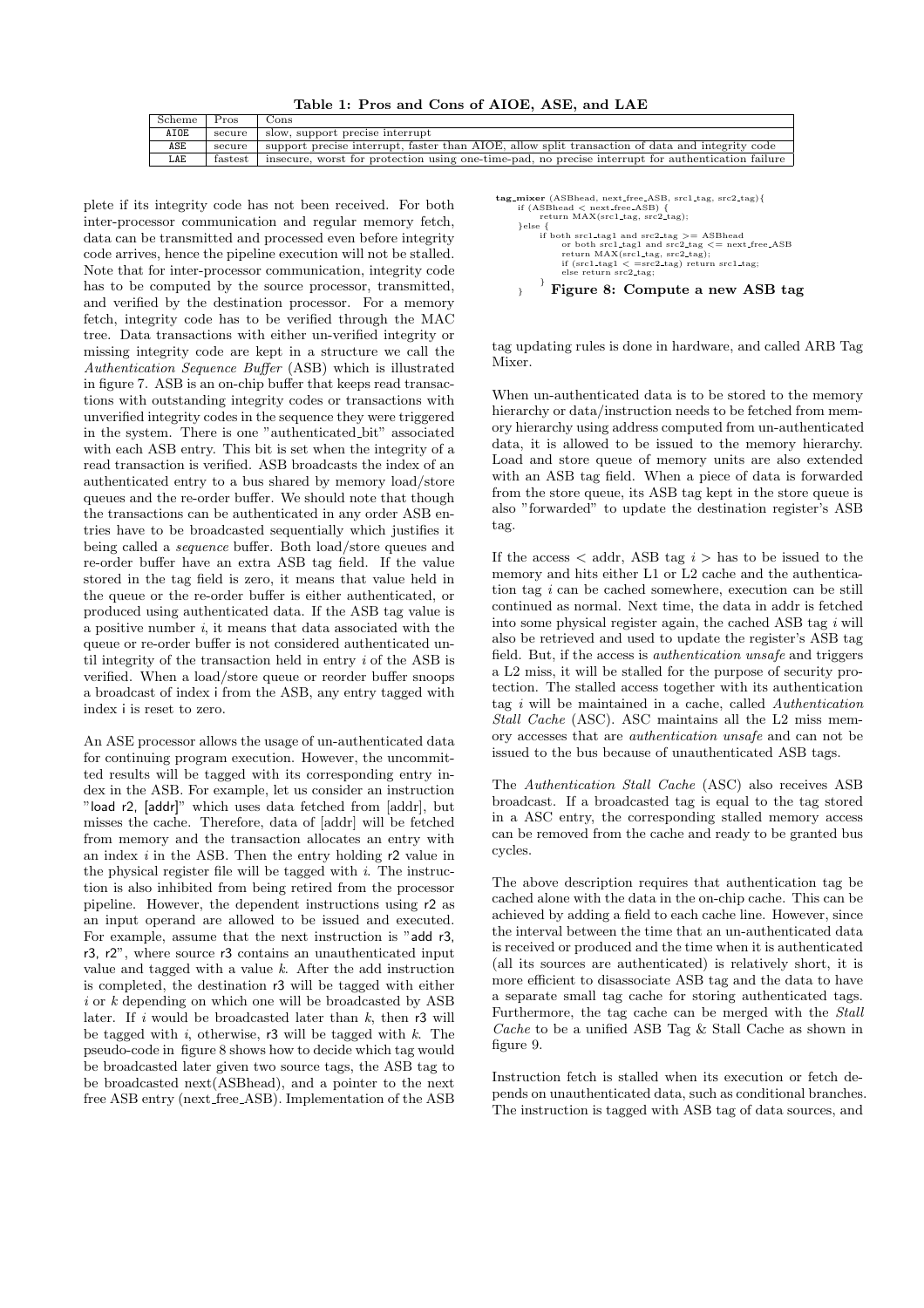Table 1: Pros and Cons of AIOE, ASE, and LAE

| Scheme      | Pros    | Cons                                                                                               |
|-------------|---------|----------------------------------------------------------------------------------------------------|
| <b>AIOE</b> | secure  | slow, support precise interrupt                                                                    |
| ASE         | secure  | support precise interrupt, faster than AIOE, allow split transaction of data and integrity code    |
| LAE         | fastest | insecure, worst for protection using one-time-pad, no precise interrupt for authentication failure |

Mixer.

plete if its integrity code has not been received. For both inter-processor communication and regular memory fetch, data can be transmitted and processed even before integrity code arrives, hence the pipeline execution will not be stalled. Note that for inter-processor communication, integrity code has to be computed by the source processor, transmitted, and verified by the destination processor. For a memory fetch, integrity code has to be verified through the MAC tree. Data transactions with either un-verified integrity or missing integrity code are kept in a structure we call the Authentication Sequence Buffer (ASB) which is illustrated in figure 7. ASB is an on-chip buffer that keeps read transactions with outstanding integrity codes or transactions with unverified integrity codes in the sequence they were triggered in the system. There is one "authenticated bit" associated with each ASB entry. This bit is set when the integrity of a read transaction is verified. ASB broadcasts the index of an authenticated entry to a bus shared by memory load/store queues and the re-order buffer. We should note that though the transactions can be authenticated in any order ASB entries have to be broadcasted sequentially which justifies it being called a sequence buffer. Both load/store queues and re-order buffer have an extra ASB tag field. If the value stored in the tag field is zero, it means that value held in the queue or the re-order buffer is either authenticated, or produced using authenticated data. If the ASB tag value is a positive number  $i$ , it means that data associated with the queue or re-order buffer is not considered authenticated until integrity of the transaction held in entry i of the ASB is verified. When a load/store queue or reorder buffer snoops a broadcast of index i from the ASB, any entry tagged with index i is reset to zero.

An ASE processor allows the usage of un-authenticated data for continuing program execution. However, the uncommitted results will be tagged with its corresponding entry index in the ASB. For example, let us consider an instruction "load r2, [addr]" which uses data fetched from [addr], but misses the cache. Therefore, data of [addr] will be fetched from memory and the transaction allocates an entry with an index  $i$  in the ASB. Then the entry holding  $r^2$  value in the physical register file will be tagged with  $i$ . The instruction is also inhibited from being retired from the processor pipeline. However, the dependent instructions using r2 as an input operand are allowed to be issued and executed. For example, assume that the next instruction is "add r3, r3, r2", where source r3 contains an unauthenticated input value and tagged with a value  $k$ . After the add instruction is completed, the destination r3 will be tagged with either  $i$  or  $k$  depending on which one will be broadcasted by ASB later. If  $i$  would be broadcasted later than  $k$ , then r3 will be tagged with i, otherwise,  $r3$  will be tagged with k. The pseudo-code in figure 8 shows how to decide which tag would be broadcasted later given two source tags, the ASB tag to be broadcasted next(ASBhead), and a pointer to the next free ASB entry (next free ASB). Implementation of the ASB

```
tag_mixer (ASBhead, next_free_ASB, src1_tag, src2_tag){
        if (ASBhead < next free ASB) {
return MAX(src1 tag, src2 tag);
}else {
                if both src1.tag1 and src2.tag >= ASBhead<br>or both src1.tag1 and src2.tag <= next.free.ASB<br>return MAX(src1.tag, src2.tag);<br>if (src1.tag1 < =src2.tag) return src1.tag;
                       \frac{11}{11} (src1-\frac{1}{10} src2_tag;
                }
       \rightarrow Figure 8: Compute a new ASB tag
```
tag updating rules is done in hardware, and called ARB Tag

When un-authenticated data is to be stored to the memory hierarchy or data/instruction needs to be fetched from memory hierarchy using address computed from un-authenticated data, it is allowed to be issued to the memory hierarchy. Load and store queue of memory units are also extended with an ASB tag field. When a piece of data is forwarded from the store queue, its ASB tag kept in the store queue is also "forwarded" to update the destination register's ASB tag.

If the access  $\lt$  addr, ASB tag  $i >$  has to be issued to the memory and hits either L1 or L2 cache and the authentication tag i can be cached somewhere, execution can be still continued as normal. Next time, the data in addr is fetched into some physical register again, the cached ASB tag  $i$  will also be retrieved and used to update the register's ASB tag field. But, if the access is *authentication unsafe* and triggers a L2 miss, it will be stalled for the purpose of security protection. The stalled access together with its authentication tag  $i$  will be maintained in a cache, called  $Authentication$ Stall Cache (ASC). ASC maintains all the L2 miss memory accesses that are authentication unsafe and can not be issued to the bus because of unauthenticated ASB tags.

The Authentication Stall Cache (ASC) also receives ASB broadcast. If a broadcasted tag is equal to the tag stored in a ASC entry, the corresponding stalled memory access can be removed from the cache and ready to be granted bus cycles.

The above description requires that authentication tag be cached alone with the data in the on-chip cache. This can be achieved by adding a field to each cache line. However, since the interval between the time that an un-authenticated data is received or produced and the time when it is authenticated (all its sources are authenticated) is relatively short, it is more efficient to disassociate ASB tag and the data to have a separate small tag cache for storing authenticated tags. Furthermore, the tag cache can be merged with the Stall Cache to be a unified ASB Tag & Stall Cache as shown in figure 9.

Instruction fetch is stalled when its execution or fetch depends on unauthenticated data, such as conditional branches. The instruction is tagged with ASB tag of data sources, and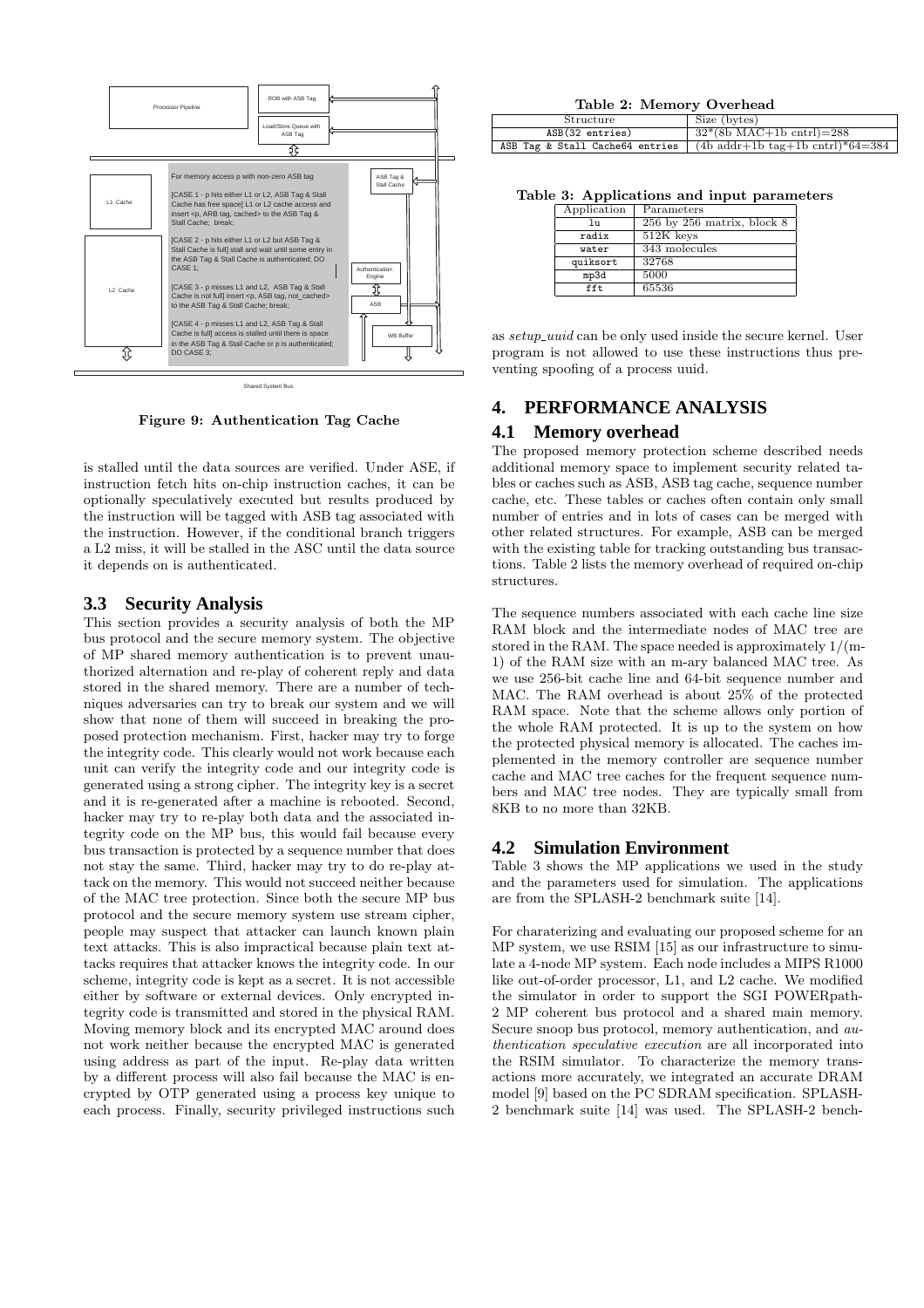

Shared System Bus

Figure 9: Authentication Tag Cache

is stalled until the data sources are verified. Under ASE, if instruction fetch hits on-chip instruction caches, it can be optionally speculatively executed but results produced by the instruction will be tagged with ASB tag associated with the instruction. However, if the conditional branch triggers a L2 miss, it will be stalled in the ASC until the data source it depends on is authenticated.

### **3.3 Security Analysis**

This section provides a security analysis of both the MP bus protocol and the secure memory system. The objective of MP shared memory authentication is to prevent unauthorized alternation and re-play of coherent reply and data stored in the shared memory. There are a number of techniques adversaries can try to break our system and we will show that none of them will succeed in breaking the proposed protection mechanism. First, hacker may try to forge the integrity code. This clearly would not work because each unit can verify the integrity code and our integrity code is generated using a strong cipher. The integrity key is a secret and it is re-generated after a machine is rebooted. Second, hacker may try to re-play both data and the associated integrity code on the MP bus, this would fail because every bus transaction is protected by a sequence number that does not stay the same. Third, hacker may try to do re-play attack on the memory. This would not succeed neither because of the MAC tree protection. Since both the secure MP bus protocol and the secure memory system use stream cipher, people may suspect that attacker can launch known plain text attacks. This is also impractical because plain text attacks requires that attacker knows the integrity code. In our scheme, integrity code is kept as a secret. It is not accessible either by software or external devices. Only encrypted integrity code is transmitted and stored in the physical RAM. Moving memory block and its encrypted MAC around does not work neither because the encrypted MAC is generated using address as part of the input. Re-play data written by a different process will also fail because the MAC is encrypted by OTP generated using a process key unique to each process. Finally, security privileged instructions such

| Structure                       | Size (bytes)                                             |
|---------------------------------|----------------------------------------------------------|
| ASB(32 entries)                 | $32*(8b MAC+1b \text{ chr1})=288$                        |
| ASB Tag & Stall Cache64 entries | $(4b \text{ addr}+1b \text{ tag}+1b \text{ chr})*64=384$ |

Table 3: Applications and input parameters

| Application | Parameters                 |
|-------------|----------------------------|
| 111         | 256 by 256 matrix, block 8 |
| radix       | 512K keys                  |
| water       | 343 molecules              |
| quiksort    | 32768                      |
| mp3d        | 5000                       |
| fft.        | 65536                      |

as setup uuid can be only used inside the secure kernel. User program is not allowed to use these instructions thus preventing spoofing of a process uuid.

# **4. PERFORMANCE ANALYSIS**

## **4.1 Memory overhead**

The proposed memory protection scheme described needs additional memory space to implement security related tables or caches such as ASB, ASB tag cache, sequence number cache, etc. These tables or caches often contain only small number of entries and in lots of cases can be merged with other related structures. For example, ASB can be merged with the existing table for tracking outstanding bus transactions. Table 2 lists the memory overhead of required on-chip structures.

The sequence numbers associated with each cache line size RAM block and the intermediate nodes of MAC tree are stored in the RAM. The space needed is approximately 1/(m-1) of the RAM size with an m-ary balanced MAC tree. As we use 256-bit cache line and 64-bit sequence number and MAC. The RAM overhead is about 25% of the protected RAM space. Note that the scheme allows only portion of the whole RAM protected. It is up to the system on how the protected physical memory is allocated. The caches implemented in the memory controller are sequence number cache and MAC tree caches for the frequent sequence numbers and MAC tree nodes. They are typically small from 8KB to no more than 32KB.

## **4.2 Simulation Environment**

Table 3 shows the MP applications we used in the study and the parameters used for simulation. The applications are from the SPLASH-2 benchmark suite [14].

For charaterizing and evaluating our proposed scheme for an MP system, we use RSIM [15] as our infrastructure to simulate a 4-node MP system. Each node includes a MIPS R1000 like out-of-order processor, L1, and L2 cache. We modified the simulator in order to support the SGI POWERpath-2 MP coherent bus protocol and a shared main memory. Secure snoop bus protocol, memory authentication, and authentication speculative execution are all incorporated into the RSIM simulator. To characterize the memory transactions more accurately, we integrated an accurate DRAM model [9] based on the PC SDRAM specification. SPLASH-2 benchmark suite [14] was used. The SPLASH-2 bench-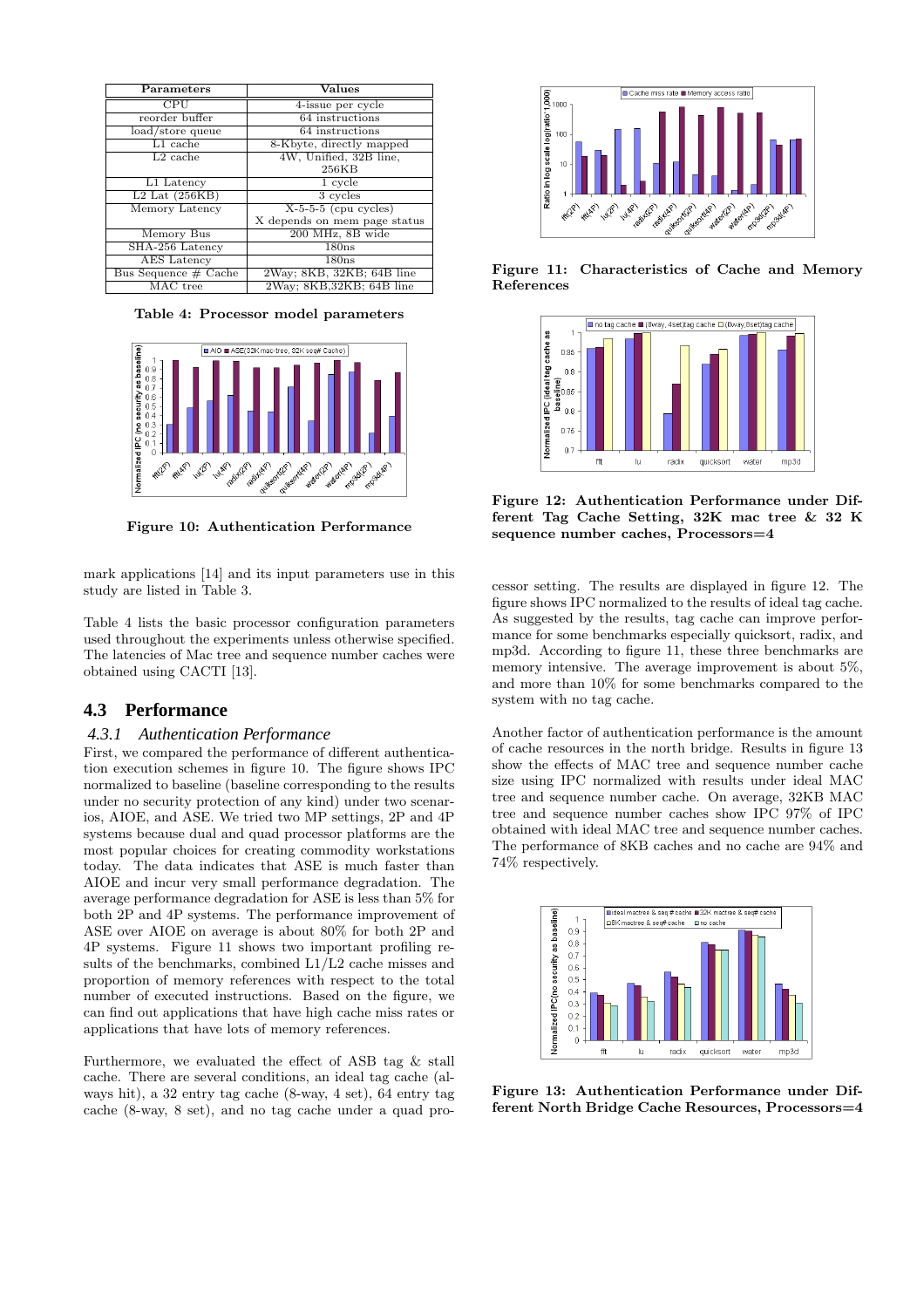| Parameters           | Values                       |
|----------------------|------------------------------|
| CPU                  | 4-issue per cycle            |
| reorder buffer       | 64 instructions              |
| load/store queue     | 64 instructions              |
| $L1$ cache           | 8-Kbyte, directly mapped     |
| $L2$ cache           | 4W, Unified, 32B line,       |
|                      | 256KB                        |
| L1 Latency           | 1 cycle                      |
| $L2$ Lat $(256KB)$   | 3 cycles                     |
| Memory Latency       | $X-5-5-5$ (cpu cycles)       |
|                      | X depends on mem page status |
| Memory Bus           | 200 MHz, 8B wide             |
| SHA-256 Latency      | 180ns                        |
| <b>AES</b> Latency   | 180ns                        |
| Bus Sequence # Cache | 2Way; 8KB, 32KB; 64B line    |
| MAC tree             | 2Way; 8KB, 32KB; 64B line    |

Table 4: Processor model parameters



Figure 10: Authentication Performance

mark applications [14] and its input parameters use in this study are listed in Table 3.

Table 4 lists the basic processor configuration parameters used throughout the experiments unless otherwise specified. The latencies of Mac tree and sequence number caches were obtained using CACTI [13].

#### **4.3 Performance**

#### *4.3.1 Authentication Performance*

First, we compared the performance of different authentication execution schemes in figure 10. The figure shows IPC normalized to baseline (baseline corresponding to the results under no security protection of any kind) under two scenarios, AIOE, and ASE. We tried two MP settings, 2P and 4P systems because dual and quad processor platforms are the most popular choices for creating commodity workstations today. The data indicates that ASE is much faster than AIOE and incur very small performance degradation. The average performance degradation for ASE is less than 5% for both 2P and 4P systems. The performance improvement of ASE over AIOE on average is about 80% for both 2P and 4P systems. Figure 11 shows two important profiling results of the benchmarks, combined L1/L2 cache misses and proportion of memory references with respect to the total number of executed instructions. Based on the figure, we can find out applications that have high cache miss rates or applications that have lots of memory references.

Furthermore, we evaluated the effect of ASB tag & stall cache. There are several conditions, an ideal tag cache (always hit), a 32 entry tag cache (8-way, 4 set), 64 entry tag cache (8-way, 8 set), and no tag cache under a quad pro-



Figure 11: Characteristics of Cache and Memory References



Figure 12: Authentication Performance under Different Tag Cache Setting, 32K mac tree & 32 K sequence number caches, Processors=4

cessor setting. The results are displayed in figure 12. The figure shows IPC normalized to the results of ideal tag cache. As suggested by the results, tag cache can improve performance for some benchmarks especially quicksort, radix, and mp3d. According to figure 11, these three benchmarks are memory intensive. The average improvement is about 5%, and more than 10% for some benchmarks compared to the system with no tag cache.

Another factor of authentication performance is the amount of cache resources in the north bridge. Results in figure 13 show the effects of MAC tree and sequence number cache size using IPC normalized with results under ideal MAC tree and sequence number cache. On average, 32KB MAC tree and sequence number caches show IPC 97% of IPC obtained with ideal MAC tree and sequence number caches. The performance of 8KB caches and no cache are 94% and 74% respectively.



Figure 13: Authentication Performance under Different North Bridge Cache Resources, Processors=4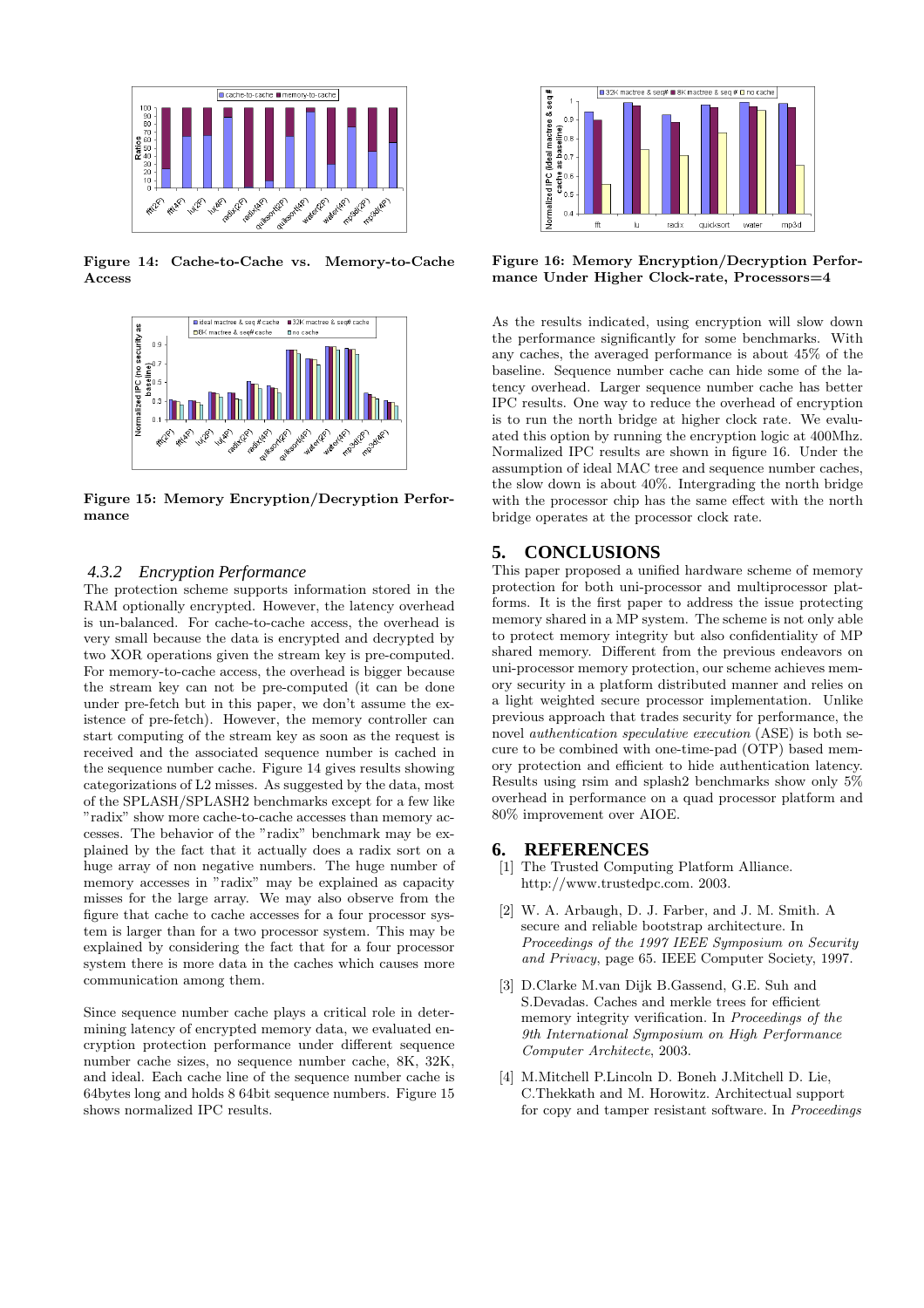

Figure 14: Cache-to-Cache vs. Memory-to-Cache Access



Figure 15: Memory Encryption/Decryption Performance

#### *4.3.2 Encryption Performance*

The protection scheme supports information stored in the RAM optionally encrypted. However, the latency overhead is un-balanced. For cache-to-cache access, the overhead is very small because the data is encrypted and decrypted by two XOR operations given the stream key is pre-computed. For memory-to-cache access, the overhead is bigger because the stream key can not be pre-computed (it can be done under pre-fetch but in this paper, we don't assume the existence of pre-fetch). However, the memory controller can start computing of the stream key as soon as the request is received and the associated sequence number is cached in the sequence number cache. Figure 14 gives results showing categorizations of L2 misses. As suggested by the data, most of the SPLASH/SPLASH2 benchmarks except for a few like "radix" show more cache-to-cache accesses than memory accesses. The behavior of the "radix" benchmark may be explained by the fact that it actually does a radix sort on a huge array of non negative numbers. The huge number of memory accesses in "radix" may be explained as capacity misses for the large array. We may also observe from the figure that cache to cache accesses for a four processor system is larger than for a two processor system. This may be explained by considering the fact that for a four processor system there is more data in the caches which causes more communication among them.

Since sequence number cache plays a critical role in determining latency of encrypted memory data, we evaluated encryption protection performance under different sequence number cache sizes, no sequence number cache, 8K, 32K, and ideal. Each cache line of the sequence number cache is 64bytes long and holds 8 64bit sequence numbers. Figure 15 shows normalized IPC results.



Figure 16: Memory Encryption/Decryption Performance Under Higher Clock-rate, Processors=4

As the results indicated, using encryption will slow down the performance significantly for some benchmarks. With any caches, the averaged performance is about 45% of the baseline. Sequence number cache can hide some of the latency overhead. Larger sequence number cache has better IPC results. One way to reduce the overhead of encryption is to run the north bridge at higher clock rate. We evaluated this option by running the encryption logic at 400Mhz. Normalized IPC results are shown in figure 16. Under the assumption of ideal MAC tree and sequence number caches, the slow down is about 40%. Intergrading the north bridge with the processor chip has the same effect with the north bridge operates at the processor clock rate.

## **5. CONCLUSIONS**

This paper proposed a unified hardware scheme of memory protection for both uni-processor and multiprocessor platforms. It is the first paper to address the issue protecting memory shared in a MP system. The scheme is not only able to protect memory integrity but also confidentiality of MP shared memory. Different from the previous endeavors on uni-processor memory protection, our scheme achieves memory security in a platform distributed manner and relies on a light weighted secure processor implementation. Unlike previous approach that trades security for performance, the novel *authentication speculative execution* (ASE) is both secure to be combined with one-time-pad (OTP) based memory protection and efficient to hide authentication latency. Results using rsim and splash2 benchmarks show only 5% overhead in performance on a quad processor platform and 80% improvement over AIOE.

#### **6. REFERENCES**

- [1] The Trusted Computing Platform Alliance. http://www.trustedpc.com. 2003.
- [2] W. A. Arbaugh, D. J. Farber, and J. M. Smith. A secure and reliable bootstrap architecture. In Proceedings of the 1997 IEEE Symposium on Security and Privacy, page 65. IEEE Computer Society, 1997.
- [3] D.Clarke M.van Dijk B.Gassend, G.E. Suh and S.Devadas. Caches and merkle trees for efficient memory integrity verification. In Proceedings of the 9th International Symposium on High Performance Computer Architecte, 2003.
- [4] M.Mitchell P.Lincoln D. Boneh J.Mitchell D. Lie, C.Thekkath and M. Horowitz. Architectual support for copy and tamper resistant software. In Proceedings